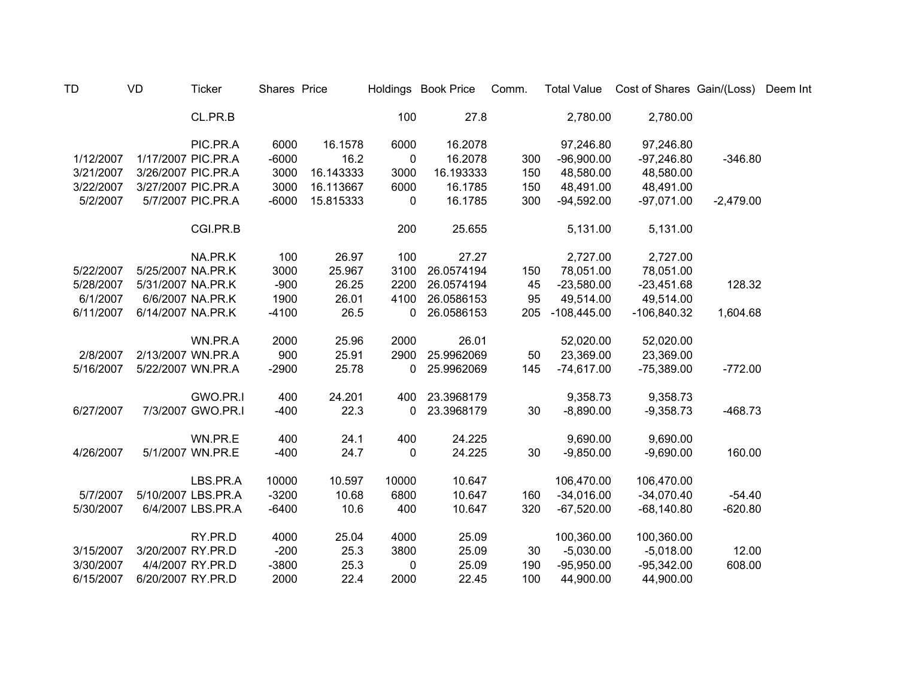| <b>TD</b> | <b>VD</b>         | <b>Ticker</b>      | Shares Price |           |              | Holdings Book Price | Comm. | <b>Total Value</b> | Cost of Shares Gain/(Loss) |             | Deem Int |
|-----------|-------------------|--------------------|--------------|-----------|--------------|---------------------|-------|--------------------|----------------------------|-------------|----------|
|           |                   | CL.PR.B            |              |           | 100          | 27.8                |       | 2,780.00           | 2,780.00                   |             |          |
|           |                   | PIC.PR.A           | 6000         | 16.1578   | 6000         | 16.2078             |       | 97,246.80          | 97,246.80                  |             |          |
| 1/12/2007 |                   | 1/17/2007 PIC.PR.A | $-6000$      | 16.2      | $\mathbf 0$  | 16.2078             | 300   | $-96,900.00$       | $-97,246.80$               | $-346.80$   |          |
| 3/21/2007 |                   | 3/26/2007 PIC.PR.A | 3000         | 16.143333 | 3000         | 16.193333           | 150   | 48,580.00          | 48,580.00                  |             |          |
| 3/22/2007 |                   | 3/27/2007 PIC.PR.A | 3000         | 16.113667 | 6000         | 16.1785             | 150   | 48,491.00          | 48,491.00                  |             |          |
| 5/2/2007  |                   | 5/7/2007 PIC.PR.A  | $-6000$      | 15.815333 | 0            | 16.1785             | 300   | $-94,592.00$       | $-97,071.00$               | $-2,479.00$ |          |
|           |                   | CGI.PR.B           |              |           | 200          | 25.655              |       | 5,131.00           | 5,131.00                   |             |          |
|           |                   | NA.PR.K            | 100          | 26.97     | 100          | 27.27               |       | 2,727.00           | 2,727.00                   |             |          |
| 5/22/2007 | 5/25/2007 NA.PR.K |                    | 3000         | 25.967    | 3100         | 26.0574194          | 150   | 78,051.00          | 78,051.00                  |             |          |
| 5/28/2007 | 5/31/2007 NA.PR.K |                    | $-900$       | 26.25     | 2200         | 26.0574194          | 45    | $-23,580.00$       | $-23,451.68$               | 128.32      |          |
| 6/1/2007  |                   | 6/6/2007 NA.PR.K   | 1900         | 26.01     | 4100         | 26.0586153          | 95    | 49,514.00          | 49,514.00                  |             |          |
| 6/11/2007 | 6/14/2007 NA.PR.K |                    | $-4100$      | 26.5      | 0            | 26.0586153          | 205   | $-108,445.00$      | $-106,840.32$              | 1,604.68    |          |
|           |                   | WN.PR.A            | 2000         | 25.96     | 2000         | 26.01               |       | 52,020.00          | 52,020.00                  |             |          |
| 2/8/2007  |                   | 2/13/2007 WN.PR.A  | 900          | 25.91     | 2900         | 25.9962069          | 50    | 23,369.00          | 23,369.00                  |             |          |
| 5/16/2007 |                   | 5/22/2007 WN.PR.A  | $-2900$      | 25.78     | 0            | 25.9962069          | 145   | $-74,617.00$       | $-75,389.00$               | $-772.00$   |          |
|           |                   | GWO.PR.I           | 400          | 24.201    | 400          | 23.3968179          |       | 9,358.73           | 9,358.73                   |             |          |
| 6/27/2007 |                   | 7/3/2007 GWO.PR.I  | $-400$       | 22.3      | $\mathbf{0}$ | 23.3968179          | 30    | $-8,890.00$        | $-9,358.73$                | $-468.73$   |          |
|           |                   | WN.PR.E            | 400          | 24.1      | 400          | 24.225              |       | 9,690.00           | 9,690.00                   |             |          |
| 4/26/2007 |                   | 5/1/2007 WN.PR.E   | $-400$       | 24.7      | 0            | 24.225              | 30    | $-9,850.00$        | $-9,690.00$                | 160.00      |          |
|           |                   | LBS.PR.A           | 10000        | 10.597    | 10000        | 10.647              |       | 106,470.00         | 106,470.00                 |             |          |
| 5/7/2007  |                   | 5/10/2007 LBS.PR.A | $-3200$      | 10.68     | 6800         | 10.647              | 160   | $-34,016.00$       | $-34,070.40$               | $-54.40$    |          |
| 5/30/2007 |                   | 6/4/2007 LBS.PR.A  | $-6400$      | 10.6      | 400          | 10.647              | 320   | $-67,520.00$       | $-68,140.80$               | $-620.80$   |          |
|           |                   | RY.PR.D            | 4000         | 25.04     | 4000         | 25.09               |       | 100,360.00         | 100,360.00                 |             |          |
| 3/15/2007 | 3/20/2007 RY.PR.D |                    | $-200$       | 25.3      | 3800         | 25.09               | 30    | $-5,030.00$        | $-5,018.00$                | 12.00       |          |
| 3/30/2007 |                   | 4/4/2007 RY.PR.D   | $-3800$      | 25.3      | $\mathbf 0$  | 25.09               | 190   | $-95,950.00$       | $-95,342.00$               | 608.00      |          |
| 6/15/2007 | 6/20/2007 RY.PR.D |                    | 2000         | 22.4      | 2000         | 22.45               | 100   | 44,900.00          | 44,900.00                  |             |          |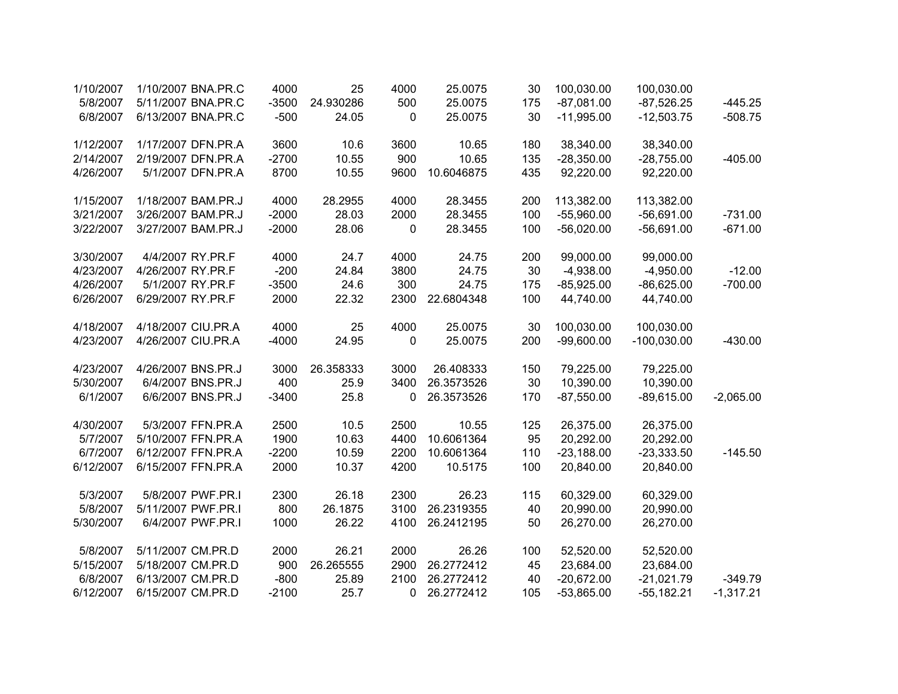| 1/10/2007 | 1/10/2007 BNA.PR.C | 4000    | 25        | 4000         | 25.0075    | 30  | 100,030.00   | 100,030.00    |             |
|-----------|--------------------|---------|-----------|--------------|------------|-----|--------------|---------------|-------------|
| 5/8/2007  | 5/11/2007 BNA.PR.C | $-3500$ | 24.930286 | 500          | 25.0075    | 175 | $-87,081.00$ | $-87,526.25$  | $-445.25$   |
| 6/8/2007  | 6/13/2007 BNA.PR.C | $-500$  | 24.05     | 0            | 25.0075    | 30  | $-11,995.00$ | $-12,503.75$  | $-508.75$   |
| 1/12/2007 | 1/17/2007 DFN.PR.A | 3600    | 10.6      | 3600         | 10.65      | 180 | 38,340.00    | 38,340.00     |             |
| 2/14/2007 | 2/19/2007 DFN.PR.A | $-2700$ | 10.55     | 900          | 10.65      | 135 | $-28,350.00$ | $-28,755.00$  | $-405.00$   |
| 4/26/2007 | 5/1/2007 DFN.PR.A  | 8700    | 10.55     | 9600         | 10.6046875 | 435 | 92,220.00    | 92,220.00     |             |
| 1/15/2007 | 1/18/2007 BAM.PR.J | 4000    | 28.2955   | 4000         | 28.3455    | 200 | 113,382.00   | 113,382.00    |             |
| 3/21/2007 | 3/26/2007 BAM.PR.J | $-2000$ | 28.03     | 2000         | 28.3455    | 100 | $-55,960.00$ | $-56,691.00$  | $-731.00$   |
| 3/22/2007 | 3/27/2007 BAM.PR.J | $-2000$ | 28.06     | 0            | 28.3455    | 100 | $-56,020.00$ | $-56,691.00$  | $-671.00$   |
| 3/30/2007 | 4/4/2007 RY.PR.F   | 4000    | 24.7      | 4000         | 24.75      | 200 | 99,000.00    | 99,000.00     |             |
| 4/23/2007 | 4/26/2007 RY.PR.F  | $-200$  | 24.84     | 3800         | 24.75      | 30  | $-4,938.00$  | $-4,950.00$   | $-12.00$    |
| 4/26/2007 | 5/1/2007 RY.PR.F   | $-3500$ | 24.6      | 300          | 24.75      | 175 | $-85,925.00$ | $-86,625.00$  | $-700.00$   |
| 6/26/2007 | 6/29/2007 RY.PR.F  | 2000    | 22.32     | 2300         | 22.6804348 | 100 | 44,740.00    | 44,740.00     |             |
| 4/18/2007 | 4/18/2007 CIU.PR.A | 4000    | 25        | 4000         | 25.0075    | 30  | 100,030.00   | 100,030.00    |             |
| 4/23/2007 | 4/26/2007 CIU.PR.A | $-4000$ | 24.95     | 0            | 25.0075    | 200 | $-99,600.00$ | $-100,030.00$ | $-430.00$   |
| 4/23/2007 | 4/26/2007 BNS.PR.J | 3000    | 26.358333 | 3000         | 26.408333  | 150 | 79,225.00    | 79,225.00     |             |
| 5/30/2007 | 6/4/2007 BNS.PR.J  | 400     | 25.9      | 3400         | 26.3573526 | 30  | 10,390.00    | 10,390.00     |             |
| 6/1/2007  | 6/6/2007 BNS.PR.J  | $-3400$ | 25.8      | 0            | 26.3573526 | 170 | $-87,550.00$ | $-89,615.00$  | $-2,065.00$ |
| 4/30/2007 | 5/3/2007 FFN.PR.A  | 2500    | 10.5      | 2500         | 10.55      | 125 | 26,375.00    | 26,375.00     |             |
| 5/7/2007  | 5/10/2007 FFN.PR.A | 1900    | 10.63     | 4400         | 10.6061364 | 95  | 20,292.00    | 20,292.00     |             |
| 6/7/2007  | 6/12/2007 FFN.PR.A | $-2200$ | 10.59     | 2200         | 10.6061364 | 110 | $-23,188.00$ | $-23,333.50$  | $-145.50$   |
| 6/12/2007 | 6/15/2007 FFN.PR.A | 2000    | 10.37     | 4200         | 10.5175    | 100 | 20,840.00    | 20,840.00     |             |
| 5/3/2007  | 5/8/2007 PWF.PR.I  | 2300    | 26.18     | 2300         | 26.23      | 115 | 60,329.00    | 60,329.00     |             |
| 5/8/2007  | 5/11/2007 PWF.PR.I | 800     | 26.1875   | 3100         | 26.2319355 | 40  | 20,990.00    | 20,990.00     |             |
| 5/30/2007 | 6/4/2007 PWF.PR.I  | 1000    | 26.22     | 4100         | 26.2412195 | 50  | 26,270.00    | 26,270.00     |             |
| 5/8/2007  | 5/11/2007 CM.PR.D  | 2000    | 26.21     | 2000         | 26.26      | 100 | 52,520.00    | 52,520.00     |             |
| 5/15/2007 | 5/18/2007 CM.PR.D  | 900     | 26.265555 | 2900         | 26.2772412 | 45  | 23,684.00    | 23,684.00     |             |
| 6/8/2007  | 6/13/2007 CM.PR.D  | $-800$  | 25.89     | 2100         | 26.2772412 | 40  | $-20,672.00$ | $-21,021.79$  | $-349.79$   |
| 6/12/2007 | 6/15/2007 CM.PR.D  | $-2100$ | 25.7      | $\mathbf{0}$ | 26.2772412 | 105 | $-53,865.00$ | $-55,182.21$  | $-1,317.21$ |